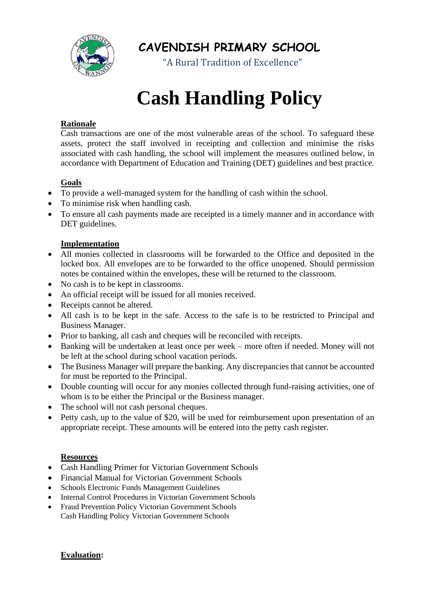

**CAVENDISH PRIMARY SCHOOL**

"A Rural Tradition of Excellence"

# **Cash Handling Policy**

## **Rationale**

Cash transactions are one of the most vulnerable areas of the school. To safeguard these assets, protect the staff involved in receipting and collection and minimise the risks associated with cash handling, the school will implement the measures outlined below, in accordance with Department of Education and Training (DET) guidelines and best practice.

## **Goals**

- To provide a well-managed system for the handling of cash within the school.
- To minimise risk when handling cash.
- To ensure all cash payments made are receipted in a timely manner and in accordance with DET guidelines.

### **Implementation**

- All monies collected in classrooms will be forwarded to the Office and deposited in the locked box. All envelopes are to be forwarded to the office unopened. Should permission notes be contained within the envelopes, these will be returned to the classroom.
- No cash is to be kept in classrooms.
- An official receipt will be issued for all monies received.
- Receipts cannot be altered.
- All cash is to be kept in the safe. Access to the safe is to be restricted to Principal and Business Manager.
- Prior to banking, all cash and cheques will be reconciled with receipts.
- Banking will be undertaken at least once per week more often if needed. Money will not be left at the school during school vacation periods.
- The Business Manager will prepare the banking. Any discrepancies that cannot be accounted for must be reported to the Principal.
- Double counting will occur for any monies collected through fund-raising activities, one of whom is to be either the Principal or the Business manager.
- The school will not cash personal cheques.
- Petty cash, up to the value of \$20, will be used for reimbursement upon presentation of an appropriate receipt. These amounts will be entered into the petty cash register.

### **Resources**

- Cash Handling Primer for Victorian Government Schools
- Financial Manual for Victorian Government Schools
- Schools Electronic Funds Management Guidelines
- Internal Control Procedures in Victorian Government Schools
- Fraud Prevention Policy Victorian Government Schools Cash Handling Policy Victorian Government Schools

**Evaluation:**